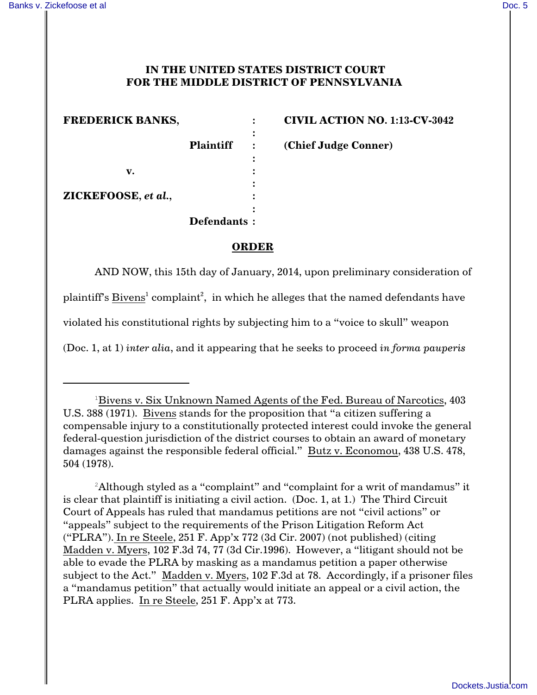## **IN THE UNITED STATES DISTRICT COURT FOR THE MIDDLE DISTRICT OF PENNSYLVANIA**

**:**

**:**

**:**

**:**

**v. : ZICKEFOOSE,** *et al.***, :**

**FREDERICK BANKS, : CIVIL ACTION NO. 1:13-CV-3042**

**Plaintiff : (Chief Judge Conner)**

**ORDER**

**Defendants :**

AND NOW, this 15th day of January, 2014, upon preliminary consideration of

plaintiff's Bivens<sup>1</sup> complaint<sup>2</sup>, in which he alleges that the named defendants have

violated his constitutional rights by subjecting him to a "voice to skull" weapon

(Doc. 1, at 1) *inter alia*, and it appearing that he seeks to proceed *in forma pauperis*

<sup>2</sup>Although styled as a "complaint" and "complaint for a writ of mandamus" it is clear that plaintiff is initiating a civil action. (Doc. 1, at 1.) The Third Circuit Court of Appeals has ruled that mandamus petitions are not "civil actions" or "appeals" subject to the requirements of the Prison Litigation Reform Act ("PLRA"). In re Steele, 251 F. App'x 772 (3d Cir. 2007) (not published) (citing Madden v. Myers, 102 F.3d 74, 77 (3d Cir.1996). However, a "litigant should not be able to evade the PLRA by masking as a mandamus petition a paper otherwise subject to the Act." Madden v. Myers, 102 F.3d at 78. Accordingly, if a prisoner files a "mandamus petition" that actually would initiate an appeal or a civil action, the PLRA applies. In re Steele, 251 F. App'x at 773.

 $1B$ ivens v. Six Unknown Named Agents of the Fed. Bureau of Narcotics, 403 U.S. 388 (1971). Bivens stands for the proposition that "a citizen suffering a compensable injury to a constitutionally protected interest could invoke the general federal-question jurisdiction of the district courses to obtain an award of monetary damages against the responsible federal official." Butz v. Economou, 438 U.S. 478, 504 (1978).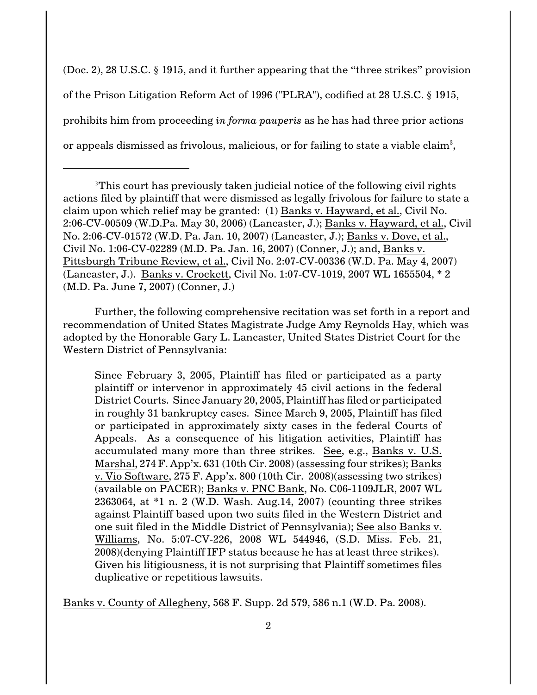(Doc. 2), 28 U.S.C. § 1915, and it further appearing that the "three strikes" provision of the Prison Litigation Reform Act of 1996 ("PLRA"), codified at 28 U.S.C. § 1915, prohibits him from proceeding *in forma pauperis* as he has had three prior actions or appeals dismissed as frivolous, malicious, or for failing to state a viable claim $^3\!$ 

Further, the following comprehensive recitation was set forth in a report and recommendation of United States Magistrate Judge Amy Reynolds Hay, which was adopted by the Honorable Gary L. Lancaster, United States District Court for the Western District of Pennsylvania:

Since February 3, 2005, Plaintiff has filed or participated as a party plaintiff or intervenor in approximately 45 civil actions in the federal District Courts. Since January 20, 2005, Plaintiff has filed or participated in roughly 31 bankruptcy cases. Since March 9, 2005, Plaintiff has filed or participated in approximately sixty cases in the federal Courts of Appeals. As a consequence of his litigation activities, Plaintiff has accumulated many more than three strikes. See, e.g., Banks v. U.S. Marshal, 274 F. App'x. 631 (10th Cir. 2008) (assessing four strikes); Banks v. Vio Software, 275 F. App'x. 800 (10th Cir. 2008)(assessing two strikes) (available on PACER); Banks v. PNC Bank, No. C06-1109JLR, 2007 WL 2363064, at \*1 n. 2 (W.D. Wash. Aug.14, 2007) (counting three strikes against Plaintiff based upon two suits filed in the Western District and one suit filed in the Middle District of Pennsylvania); See also Banks v. Williams, No. 5:07-CV-226, 2008 WL 544946, (S.D. Miss. Feb. 21, 2008)(denying Plaintiff IFP status because he has at least three strikes). Given his litigiousness, it is not surprising that Plaintiff sometimes files duplicative or repetitious lawsuits.

Banks v. County of Allegheny, 568 F. Supp. 2d 579, 586 n.1 (W.D. Pa. 2008).

 $3$ This court has previously taken judicial notice of the following civil rights actions filed by plaintiff that were dismissed as legally frivolous for failure to state a claim upon which relief may be granted: (1) Banks v. Hayward, et al., Civil No. 2:06-CV-00509 (W.D.Pa. May 30, 2006) (Lancaster, J.); Banks v. Hayward, et al., Civil No. 2:06-CV-01572 (W.D. Pa. Jan. 10, 2007) (Lancaster, J.); Banks v. Dove, et al., Civil No. 1:06-CV-02289 (M.D. Pa. Jan. 16, 2007) (Conner, J.); and, Banks v. Pittsburgh Tribune Review, et al., Civil No. 2:07-CV-00336 (W.D. Pa. May 4, 2007) (Lancaster, J.). Banks v. Crockett, Civil No. 1:07-CV-1019, 2007 WL 1655504, \* 2 (M.D. Pa. June 7, 2007) (Conner, J.)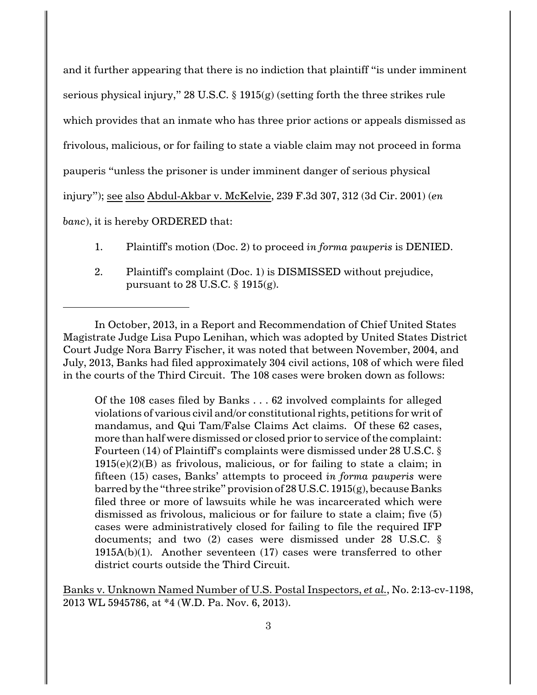and it further appearing that there is no indiction that plaintiff "is under imminent serious physical injury," 28 U.S.C. § 1915(g) (setting forth the three strikes rule which provides that an inmate who has three prior actions or appeals dismissed as frivolous, malicious, or for failing to state a viable claim may not proceed in forma pauperis "unless the prisoner is under imminent danger of serious physical injury"); see also Abdul-Akbar v. McKelvie, 239 F.3d 307, 312 (3d Cir. 2001) (*en banc*), it is hereby ORDERED that:

- 1. Plaintiff's motion (Doc. 2) to proceed *in forma pauperis* is DENIED.
- 2. Plaintiff's complaint (Doc. 1) is DISMISSED without prejudice, pursuant to 28 U.S.C. § 1915(g).

In October, 2013, in a Report and Recommendation of Chief United States Magistrate Judge Lisa Pupo Lenihan, which was adopted by United States District Court Judge Nora Barry Fischer, it was noted that between November, 2004, and July, 2013, Banks had filed approximately 304 civil actions, 108 of which were filed in the courts of the Third Circuit. The 108 cases were broken down as follows:

Of the 108 cases filed by Banks . . . 62 involved complaints for alleged violations of various civil and/or constitutional rights, petitions for writ of mandamus, and Qui Tam/False Claims Act claims. Of these 62 cases, more than half were dismissed or closed prior to service of the complaint: Fourteen (14) of Plaintiff's complaints were dismissed under 28 U.S.C. §  $1915(e)(2)(B)$  as frivolous, malicious, or for failing to state a claim; in fifteen (15) cases, Banks' attempts to proceed *in forma pauperis* were barred by the "three strike" provision of 28 U.S.C. 1915(g), because Banks filed three or more of lawsuits while he was incarcerated which were dismissed as frivolous, malicious or for failure to state a claim; five (5) cases were administratively closed for failing to file the required IFP documents; and two (2) cases were dismissed under 28 U.S.C. § 1915A(b)(1). Another seventeen (17) cases were transferred to other district courts outside the Third Circuit.

Banks v. Unknown Named Number of U.S. Postal Inspectors, *et al.*, No. 2:13-cv-1198, 2013 WL 5945786, at \*4 (W.D. Pa. Nov. 6, 2013).